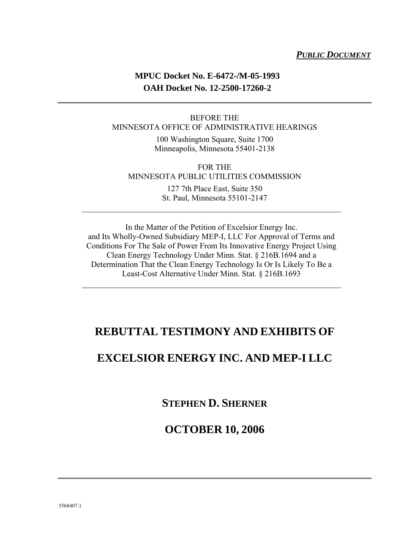#### *PUBLIC DOCUMENT*

### **MPUC Docket No. E-6472-/M-05-1993 OAH Docket No. 12-2500-17260-2**

#### BEFORE THE MINNESOTA OFFICE OF ADMINISTRATIVE HEARINGS

100 Washington Square, Suite 1700 Minneapolis, Minnesota 55401-2138

FOR THE MINNESOTA PUBLIC UTILITIES COMMISSION 127 7th Place East, Suite 350

St. Paul, Minnesota 55101-2147

In the Matter of the Petition of Excelsior Energy Inc. and Its Wholly-Owned Subsidiary MEP-I, LLC For Approval of Terms and Conditions For The Sale of Power From Its Innovative Energy Project Using Clean Energy Technology Under Minn. Stat. § 216B.1694 and a Determination That the Clean Energy Technology Is Or Is Likely To Be a Least-Cost Alternative Under Minn. Stat. § 216B.1693

### **REBUTTAL TESTIMONY AND EXHIBITS OF**

### **EXCELSIOR ENERGY INC. AND MEP-I LLC**

**STEPHEN D. SHERNER**

### **OCTOBER 10, 2006**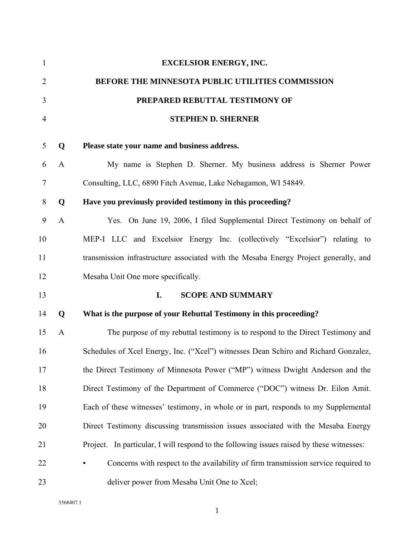| $\mathbf{1}$   |              | <b>EXCELSIOR ENERGY, INC.</b>                                                             |
|----------------|--------------|-------------------------------------------------------------------------------------------|
| $\overline{2}$ |              | BEFORE THE MINNESOTA PUBLIC UTILITIES COMMISSION                                          |
| 3              |              | PREPARED REBUTTAL TESTIMONY OF                                                            |
| 4              |              | <b>STEPHEN D. SHERNER</b>                                                                 |
| 5              | Q            | Please state your name and business address.                                              |
| 6              | $\mathbf{A}$ | My name is Stephen D. Sherner. My business address is Sherner Power                       |
| 7              |              | Consulting, LLC, 6890 Fitch Avenue, Lake Nebagamon, WI 54849.                             |
| 8              | Q            | Have you previously provided testimony in this proceeding?                                |
| 9              | $\mathbf{A}$ | Yes. On June 19, 2006, I filed Supplemental Direct Testimony on behalf of                 |
| 10             |              | MEP-I LLC and Excelsior Energy Inc. (collectively "Excelsior") relating to                |
| 11             |              | transmission infrastructure associated with the Mesaba Energy Project generally, and      |
| 12             |              | Mesaba Unit One more specifically.                                                        |
| 13             |              | I.<br><b>SCOPE AND SUMMARY</b>                                                            |
| 14             | Q            | What is the purpose of your Rebuttal Testimony in this proceeding?                        |
| 15             | $\mathbf{A}$ | The purpose of my rebuttal testimony is to respond to the Direct Testimony and            |
| 16             |              | Schedules of Xcel Energy, Inc. ("Xcel") witnesses Dean Schiro and Richard Gonzalez,       |
| 17             |              | the Direct Testimony of Minnesota Power ("MP") witness Dwight Anderson and the            |
| 18             |              | Direct Testimony of the Department of Commerce ("DOC") witness Dr. Eilon Amit.            |
| 19             |              | Each of these witnesses' testimony, in whole or in part, responds to my Supplemental      |
| 20             |              | Direct Testimony discussing transmission issues associated with the Mesaba Energy         |
| 21             |              | Project. In particular, I will respond to the following issues raised by these witnesses: |
| 22             |              | Concerns with respect to the availability of firm transmission service required to        |
| 23             |              | deliver power from Mesaba Unit One to Xcel;                                               |

3568407.1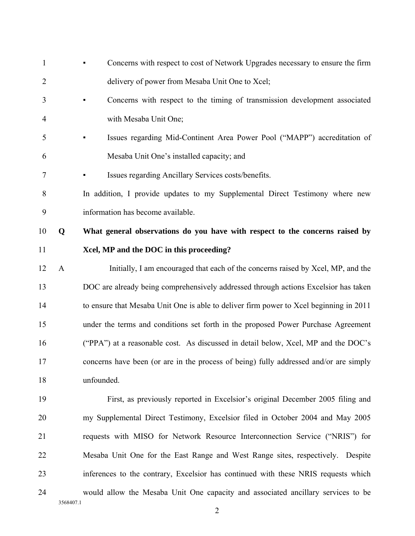| $\mathbf{1}$   |              | Concerns with respect to cost of Network Upgrades necessary to ensure the firm         |
|----------------|--------------|----------------------------------------------------------------------------------------|
| $\overline{2}$ |              | delivery of power from Mesaba Unit One to Xcel;                                        |
| 3              |              | Concerns with respect to the timing of transmission development associated             |
| 4              |              | with Mesaba Unit One;                                                                  |
| 5              |              | Issues regarding Mid-Continent Area Power Pool ("MAPP") accreditation of               |
| 6              |              | Mesaba Unit One's installed capacity; and                                              |
| $\overline{7}$ |              | Issues regarding Ancillary Services costs/benefits.                                    |
| 8              |              | In addition, I provide updates to my Supplemental Direct Testimony where new           |
| 9              |              | information has become available.                                                      |
| 10             | Q            | What general observations do you have with respect to the concerns raised by           |
| 11             |              | Xcel, MP and the DOC in this proceeding?                                               |
| 12             | $\mathbf{A}$ | Initially, I am encouraged that each of the concerns raised by Xcel, MP, and the       |
| 13             |              | DOC are already being comprehensively addressed through actions Excelsior has taken    |
| 14             |              | to ensure that Mesaba Unit One is able to deliver firm power to Xcel beginning in 2011 |
| 15             |              | under the terms and conditions set forth in the proposed Power Purchase Agreement      |
| 16             |              | ("PPA") at a reasonable cost. As discussed in detail below, Xcel, MP and the DOC's     |
| 17             |              | concerns have been (or are in the process of being) fully addressed and/or are simply  |
| 18             |              | unfounded.                                                                             |
| 19             |              | First, as previously reported in Excelsior's original December 2005 filing and         |
| 20             |              | my Supplemental Direct Testimony, Excelsior filed in October 2004 and May 2005         |
| 21             |              | requests with MISO for Network Resource Interconnection Service ("NRIS") for           |
| 22             |              | Mesaba Unit One for the East Range and West Range sites, respectively. Despite         |
| 23             |              | inferences to the contrary, Excelsior has continued with these NRIS requests which     |
| 24             |              | would allow the Mesaba Unit One capacity and associated ancillary services to be       |

3568407.1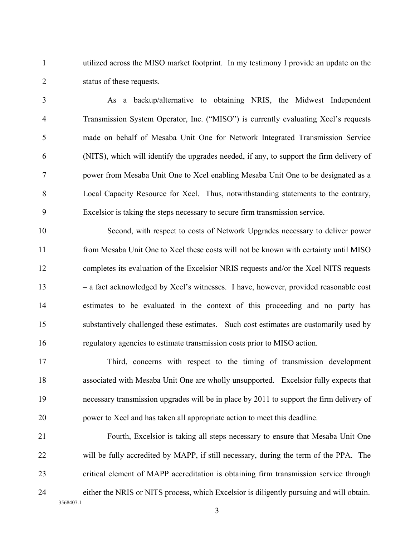1 utilized across the MISO market footprint. In my testimony I provide an update on the 2 status of these requests.

3 As a backup/alternative to obtaining NRIS, the Midwest Independent 4 Transmission System Operator, Inc. ("MISO") is currently evaluating Xcel's requests 5 made on behalf of Mesaba Unit One for Network Integrated Transmission Service 6 (NITS), which will identify the upgrades needed, if any, to support the firm delivery of 7 power from Mesaba Unit One to Xcel enabling Mesaba Unit One to be designated as a 8 Local Capacity Resource for Xcel. Thus, notwithstanding statements to the contrary, 9 Excelsior is taking the steps necessary to secure firm transmission service.

10 Second, with respect to costs of Network Upgrades necessary to deliver power 11 from Mesaba Unit One to Xcel these costs will not be known with certainty until MISO 12 completes its evaluation of the Excelsior NRIS requests and/or the Xcel NITS requests 13 – a fact acknowledged by Xcel's witnesses. I have, however, provided reasonable cost 14 estimates to be evaluated in the context of this proceeding and no party has 15 substantively challenged these estimates. Such cost estimates are customarily used by 16 regulatory agencies to estimate transmission costs prior to MISO action.

17 Third, concerns with respect to the timing of transmission development 18 associated with Mesaba Unit One are wholly unsupported. Excelsior fully expects that 19 necessary transmission upgrades will be in place by 2011 to support the firm delivery of 20 power to Xcel and has taken all appropriate action to meet this deadline.

3568407.1 21 Fourth, Excelsior is taking all steps necessary to ensure that Mesaba Unit One 22 will be fully accredited by MAPP, if still necessary, during the term of the PPA. The 23 critical element of MAPP accreditation is obtaining firm transmission service through 24 either the NRIS or NITS process, which Excelsior is diligently pursuing and will obtain.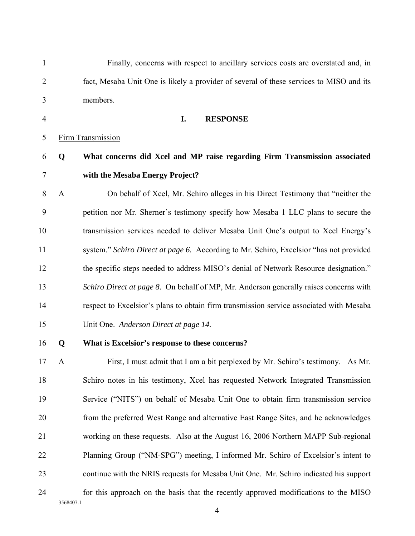| $\mathbf{1}$   |              | Finally, concerns with respect to ancillary services costs are overstated and, in       |
|----------------|--------------|-----------------------------------------------------------------------------------------|
| $\overline{2}$ |              | fact, Mesaba Unit One is likely a provider of several of these services to MISO and its |
| 3              |              | members.                                                                                |
| $\overline{4}$ |              | I.<br><b>RESPONSE</b>                                                                   |
| 5              |              | <b>Firm Transmission</b>                                                                |
| 6              | Q            | What concerns did Xcel and MP raise regarding Firm Transmission associated              |
| 7              |              | with the Mesaba Energy Project?                                                         |
| 8              | $\mathbf{A}$ | On behalf of Xcel, Mr. Schiro alleges in his Direct Testimony that "neither the         |
| 9              |              | petition nor Mr. Sherner's testimony specify how Mesaba 1 LLC plans to secure the       |
| 10             |              | transmission services needed to deliver Mesaba Unit One's output to Xcel Energy's       |
| 11             |              | system." Schiro Direct at page 6. According to Mr. Schiro, Excelsior "has not provided  |
| 12             |              | the specific steps needed to address MISO's denial of Network Resource designation."    |
| 13             |              | Schiro Direct at page 8. On behalf of MP, Mr. Anderson generally raises concerns with   |
| 14             |              | respect to Excelsior's plans to obtain firm transmission service associated with Mesaba |
| 15             |              | Unit One. Anderson Direct at page 14.                                                   |
| 16             | Q            | What is Excelsior's response to these concerns?                                         |
| 17             | $\mathbf{A}$ | First, I must admit that I am a bit perplexed by Mr. Schiro's testimony. As Mr.         |
| 18             |              | Schiro notes in his testimony, Xcel has requested Network Integrated Transmission       |
| 19             |              | Service ("NITS") on behalf of Mesaba Unit One to obtain firm transmission service       |
| 20             |              | from the preferred West Range and alternative East Range Sites, and he acknowledges     |
| 21             |              | working on these requests. Also at the August 16, 2006 Northern MAPP Sub-regional       |
| 22             |              | Planning Group ("NM-SPG") meeting, I informed Mr. Schiro of Excelsior's intent to       |
| 23             |              | continue with the NRIS requests for Mesaba Unit One. Mr. Schiro indicated his support   |
| 24             |              | for this approach on the basis that the recently approved modifications to the MISO     |
|                | 3568407.1    |                                                                                         |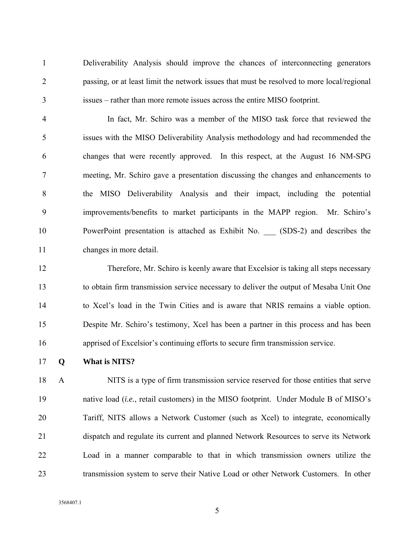1 Deliverability Analysis should improve the chances of interconnecting generators 2 passing, or at least limit the network issues that must be resolved to more local/regional 3 issues – rather than more remote issues across the entire MISO footprint.

4 In fact, Mr. Schiro was a member of the MISO task force that reviewed the 5 issues with the MISO Deliverability Analysis methodology and had recommended the 6 changes that were recently approved. In this respect, at the August 16 NM-SPG 7 meeting, Mr. Schiro gave a presentation discussing the changes and enhancements to 8 the MISO Deliverability Analysis and their impact, including the potential 9 improvements/benefits to market participants in the MAPP region. Mr. Schiro's 10 PowerPoint presentation is attached as Exhibit No. \_\_\_ (SDS-2) and describes the 11 changes in more detail.

12 Therefore, Mr. Schiro is keenly aware that Excelsior is taking all steps necessary 13 to obtain firm transmission service necessary to deliver the output of Mesaba Unit One 14 to Xcel's load in the Twin Cities and is aware that NRIS remains a viable option. 15 Despite Mr. Schiro's testimony, Xcel has been a partner in this process and has been 16 apprised of Excelsior's continuing efforts to secure firm transmission service.

17 **Q What is NITS?** 

18 A NITS is a type of firm transmission service reserved for those entities that serve 19 native load (*i.e.*, retail customers) in the MISO footprint. Under Module B of MISO's 20 Tariff, NITS allows a Network Customer (such as Xcel) to integrate, economically 21 dispatch and regulate its current and planned Network Resources to serve its Network 22 Load in a manner comparable to that in which transmission owners utilize the 23 transmission system to serve their Native Load or other Network Customers. In other

3568407.1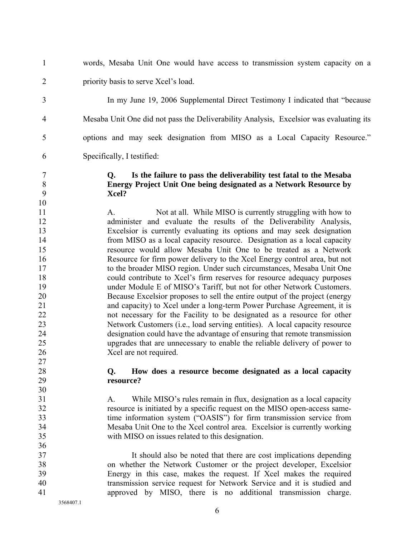- 1 words, Mesaba Unit One would have access to transmission system capacity on a 2 priority basis to serve Xcel's load. 3 In my June 19, 2006 Supplemental Direct Testimony I indicated that "because 4 Mesaba Unit One did not pass the Deliverability Analysis, Excelsior was evaluating its 5 options and may seek designation from MISO as a Local Capacity Resource." 6 Specifically, I testified: 7 **Q. Is the failure to pass the deliverability test fatal to the Mesaba**  8 **Energy Project Unit One being designated as a Network Resource by**  9 **Xcel?**  10 11 A. Not at all. While MISO is currently struggling with how to 12 administer and evaluate the results of the Deliverability Analysis, 13 Excelsior is currently evaluating its options and may seek designation 14 from MISO as a local capacity resource. Designation as a local capacity 15 resource would allow Mesaba Unit One to be treated as a Network 16 Resource for firm power delivery to the Xcel Energy control area, but not 17 to the broader MISO region. Under such circumstances, Mesaba Unit One 18 could contribute to Xcel's firm reserves for resource adequacy purposes 19 under Module E of MISO's Tariff, but not for other Network Customers. 20 Because Excelsior proposes to sell the entire output of the project (energy 21 and capacity) to Xcel under a long-term Power Purchase Agreement, it is 22 not necessary for the Facility to be designated as a resource for other 23 Network Customers (i.e., load serving entities). A local capacity resource 24 designation could have the advantage of ensuring that remote transmission 25 upgrades that are unnecessary to enable the reliable delivery of power to 26 Xcel are not required. 27 28 **Q. How does a resource become designated as a local capacity**  29 **resource?**  30 31 A. While MISO's rules remain in flux, designation as a local capacity 32 resource is initiated by a specific request on the MISO open-access same-33 time information system ("OASIS") for firm transmission service from 34 Mesaba Unit One to the Xcel control area. Excelsior is currently working 35 with MISO on issues related to this designation. 36 37 It should also be noted that there are cost implications depending 38 on whether the Network Customer or the project developer, Excelsior 39 Energy in this case, makes the request. If Xcel makes the required
- 40 transmission service request for Network Service and it is studied and
- 41 approved by MISO, there is no additional transmission charge.

3568407.1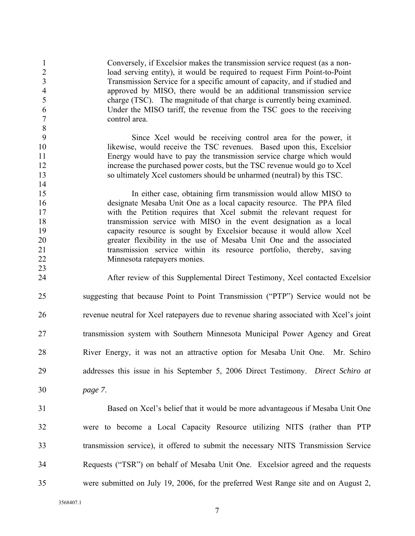1 Conversely, if Excelsior makes the transmission service request (as a non-2 load serving entity), it would be required to request Firm Point-to-Point 3 Transmission Service for a specific amount of capacity, and if studied and 4 approved by MISO, there would be an additional transmission service 5 charge (TSC). The magnitude of that charge is currently being examined. 6 Under the MISO tariff, the revenue from the TSC goes to the receiving 7 control area.

9 Since Xcel would be receiving control area for the power, it 10 likewise, would receive the TSC revenues. Based upon this, Excelsior 11 Energy would have to pay the transmission service charge which would 12 increase the purchased power costs, but the TSC revenue would go to Xcel 13 so ultimately Xcel customers should be unharmed (neutral) by this TSC.

15 In either case, obtaining firm transmission would allow MISO to 16 designate Mesaba Unit One as a local capacity resource. The PPA filed 17 with the Petition requires that Xcel submit the relevant request for 18 transmission service with MISO in the event designation as a local 19 capacity resource is sought by Excelsior because it would allow Xcel 20 greater flexibility in the use of Mesaba Unit One and the associated 21 transmission service within its resource portfolio, thereby, saving 22 Minnesota ratepayers monies.

24 After review of this Supplemental Direct Testimony, Xcel contacted Excelsior 25 suggesting that because Point to Point Transmission ("PTP") Service would not be 26 revenue neutral for Xcel ratepayers due to revenue sharing associated with Xcel's joint 27 transmission system with Southern Minnesota Municipal Power Agency and Great 28 River Energy, it was not an attractive option for Mesaba Unit One. Mr. Schiro 29 addresses this issue in his September 5, 2006 Direct Testimony. *Direct Schiro at*  30 *page 7*.

31 Based on Xcel's belief that it would be more advantageous if Mesaba Unit One 32 were to become a Local Capacity Resource utilizing NITS (rather than PTP 33 transmission service), it offered to submit the necessary NITS Transmission Service 34 Requests ("TSR") on behalf of Mesaba Unit One. Excelsior agreed and the requests 35 were submitted on July 19, 2006, for the preferred West Range site and on August 2,

3568407.1

8

14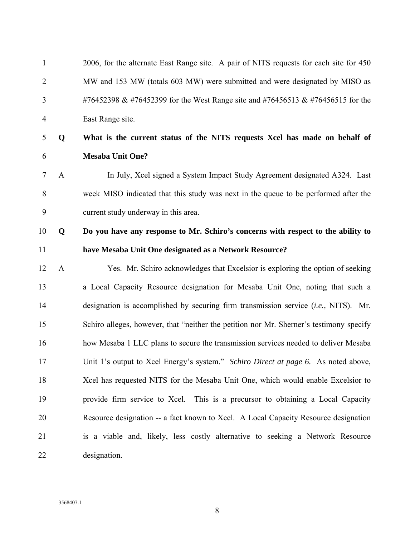| $\mathbf{1}$   |              | 2006, for the alternate East Range site. A pair of NITS requests for each site for 450  |
|----------------|--------------|-----------------------------------------------------------------------------------------|
| $\overline{2}$ |              | MW and 153 MW (totals 603 MW) were submitted and were designated by MISO as             |
| 3              |              | #76452398 & #76452399 for the West Range site and #76456513 & #76456515 for the         |
| 4              |              | East Range site.                                                                        |
| 5              | Q            | What is the current status of the NITS requests Xcel has made on behalf of              |
| 6              |              | <b>Mesaba Unit One?</b>                                                                 |
| 7              | $\mathbf{A}$ | In July, Xcel signed a System Impact Study Agreement designated A324. Last              |
| 8              |              | week MISO indicated that this study was next in the queue to be performed after the     |
| 9              |              | current study underway in this area.                                                    |
| 10             | Q            | Do you have any response to Mr. Schiro's concerns with respect to the ability to        |
| 11             |              | have Mesaba Unit One designated as a Network Resource?                                  |
| 12             | $\mathbf{A}$ | Yes. Mr. Schiro acknowledges that Excelsior is exploring the option of seeking          |
| 13             |              | a Local Capacity Resource designation for Mesaba Unit One, noting that such a           |
| 14             |              | designation is accomplished by securing firm transmission service (i.e., NITS). Mr.     |
| 15             |              | Schiro alleges, however, that "neither the petition nor Mr. Sherner's testimony specify |
| 16             |              | how Mesaba 1 LLC plans to secure the transmission services needed to deliver Mesaba     |
| 17             |              | Unit 1's output to Xcel Energy's system." Schiro Direct at page 6. As noted above,      |
| 18             |              | Xcel has requested NITS for the Mesaba Unit One, which would enable Excelsior to        |
| 19             |              | provide firm service to Xcel. This is a precursor to obtaining a Local Capacity         |
| 20             |              | Resource designation -- a fact known to Xcel. A Local Capacity Resource designation     |
| 21             |              | is a viable and, likely, less costly alternative to seeking a Network Resource          |
| 22             |              | designation.                                                                            |
|                |              |                                                                                         |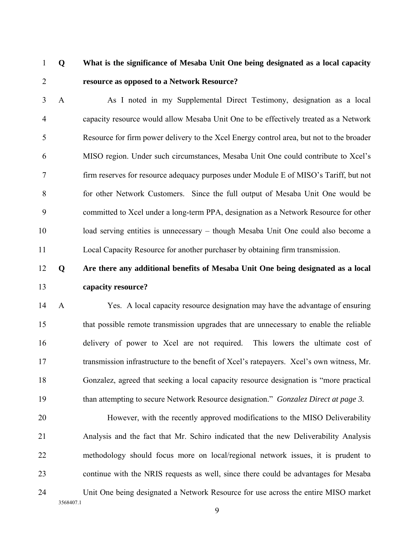### 1 **Q What is the significance of Mesaba Unit One being designated as a local capacity**  2 **resource as opposed to a Network Resource?**

3 A As I noted in my Supplemental Direct Testimony, designation as a local 4 capacity resource would allow Mesaba Unit One to be effectively treated as a Network 5 Resource for firm power delivery to the Xcel Energy control area, but not to the broader 6 MISO region. Under such circumstances, Mesaba Unit One could contribute to Xcel's 7 firm reserves for resource adequacy purposes under Module E of MISO's Tariff, but not 8 for other Network Customers. Since the full output of Mesaba Unit One would be 9 committed to Xcel under a long-term PPA, designation as a Network Resource for other 10 load serving entities is unnecessary – though Mesaba Unit One could also become a 11 Local Capacity Resource for another purchaser by obtaining firm transmission.

## 12 **Q Are there any additional benefits of Mesaba Unit One being designated as a local**  13 **capacity resource?**

14 A Yes. A local capacity resource designation may have the advantage of ensuring 15 that possible remote transmission upgrades that are unnecessary to enable the reliable 16 delivery of power to Xcel are not required. This lowers the ultimate cost of 17 transmission infrastructure to the benefit of Xcel's ratepayers. Xcel's own witness, Mr. 18 Gonzalez, agreed that seeking a local capacity resource designation is "more practical 19 than attempting to secure Network Resource designation." *Gonzalez Direct at page 3.* 

3568407.1 20 However, with the recently approved modifications to the MISO Deliverability 21 Analysis and the fact that Mr. Schiro indicated that the new Deliverability Analysis 22 methodology should focus more on local/regional network issues, it is prudent to 23 continue with the NRIS requests as well, since there could be advantages for Mesaba 24 Unit One being designated a Network Resource for use across the entire MISO market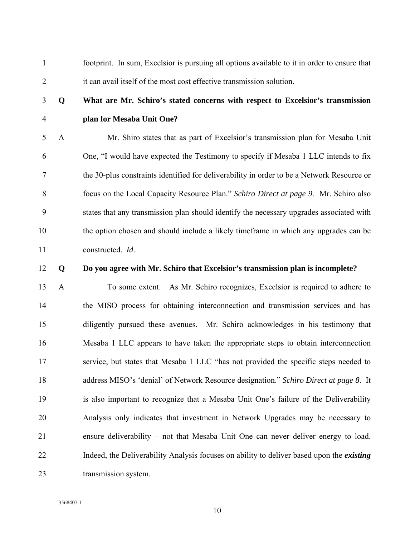1 footprint. In sum, Excelsior is pursuing all options available to it in order to ensure that 2 it can avail itself of the most cost effective transmission solution.

## 3 **Q What are Mr. Schiro's stated concerns with respect to Excelsior's transmission**  4 **plan for Mesaba Unit One?**

5 A Mr. Shiro states that as part of Excelsior's transmission plan for Mesaba Unit 6 One, "I would have expected the Testimony to specify if Mesaba 1 LLC intends to fix 7 the 30-plus constraints identified for deliverability in order to be a Network Resource or 8 focus on the Local Capacity Resource Plan." *Schiro Direct at page 9.* Mr. Schiro also 9 states that any transmission plan should identify the necessary upgrades associated with 10 the option chosen and should include a likely timeframe in which any upgrades can be 11 constructed. *Id*.

#### 12 **Q Do you agree with Mr. Schiro that Excelsior's transmission plan is incomplete?**

13 A To some extent. As Mr. Schiro recognizes, Excelsior is required to adhere to 14 the MISO process for obtaining interconnection and transmission services and has 15 diligently pursued these avenues. Mr. Schiro acknowledges in his testimony that 16 Mesaba 1 LLC appears to have taken the appropriate steps to obtain interconnection 17 service, but states that Mesaba 1 LLC "has not provided the specific steps needed to 18 address MISO's 'denial' of Network Resource designation." *Schiro Direct at page 8*. It 19 is also important to recognize that a Mesaba Unit One's failure of the Deliverability 20 Analysis only indicates that investment in Network Upgrades may be necessary to 21 ensure deliverability – not that Mesaba Unit One can never deliver energy to load. 22 Indeed, the Deliverability Analysis focuses on ability to deliver based upon the *existing* 23 transmission system.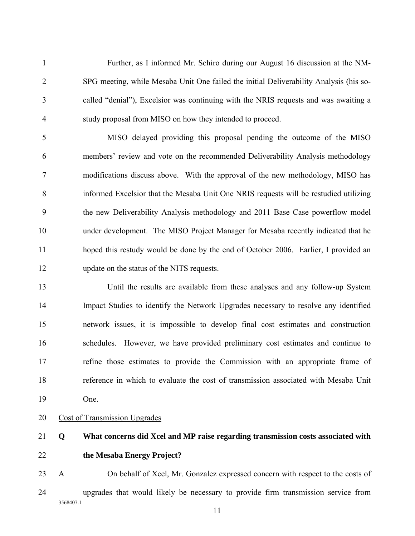1 Further, as I informed Mr. Schiro during our August 16 discussion at the NM-2 SPG meeting, while Mesaba Unit One failed the initial Deliverability Analysis (his so-3 called "denial"), Excelsior was continuing with the NRIS requests and was awaiting a 4 study proposal from MISO on how they intended to proceed.

5 MISO delayed providing this proposal pending the outcome of the MISO 6 members' review and vote on the recommended Deliverability Analysis methodology 7 modifications discuss above. With the approval of the new methodology, MISO has 8 informed Excelsior that the Mesaba Unit One NRIS requests will be restudied utilizing 9 the new Deliverability Analysis methodology and 2011 Base Case powerflow model 10 under development. The MISO Project Manager for Mesaba recently indicated that he 11 hoped this restudy would be done by the end of October 2006. Earlier, I provided an 12 update on the status of the NITS requests.

13 Until the results are available from these analyses and any follow-up System 14 Impact Studies to identify the Network Upgrades necessary to resolve any identified 15 network issues, it is impossible to develop final cost estimates and construction 16 schedules. However, we have provided preliminary cost estimates and continue to 17 refine those estimates to provide the Commission with an appropriate frame of 18 reference in which to evaluate the cost of transmission associated with Mesaba Unit 19 One.

- 20 Cost of Transmission Upgrades
- 

## 21 **Q What concerns did Xcel and MP raise regarding transmission costs associated with**  22 **the Mesaba Energy Project?**

3568407.1 23 A On behalf of Xcel, Mr. Gonzalez expressed concern with respect to the costs of 24 upgrades that would likely be necessary to provide firm transmission service from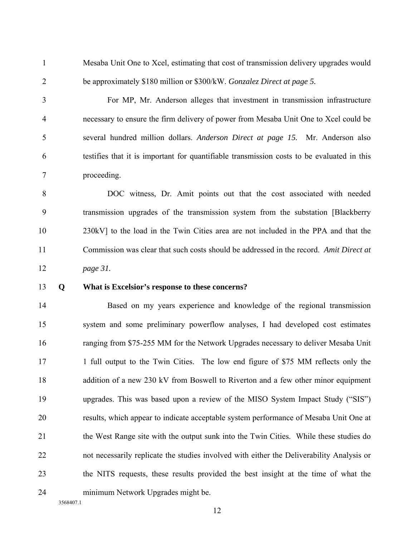1 Mesaba Unit One to Xcel, estimating that cost of transmission delivery upgrades would 2 be approximately \$180 million or \$300/kW. *Gonzalez Direct at page 5.* 

3 For MP, Mr. Anderson alleges that investment in transmission infrastructure 4 necessary to ensure the firm delivery of power from Mesaba Unit One to Xcel could be 5 several hundred million dollars. *Anderson Direct at page 15.* Mr. Anderson also 6 testifies that it is important for quantifiable transmission costs to be evaluated in this 7 proceeding.

8 DOC witness, Dr. Amit points out that the cost associated with needed 9 transmission upgrades of the transmission system from the substation [Blackberry 10 230kV] to the load in the Twin Cities area are not included in the PPA and that the 11 Commission was clear that such costs should be addressed in the record. *Amit Direct at*  12 *page 31.* 

#### 13 **Q What is Excelsior's response to these concerns?**

14 Based on my years experience and knowledge of the regional transmission 15 system and some preliminary powerflow analyses, I had developed cost estimates 16 ranging from \$75-255 MM for the Network Upgrades necessary to deliver Mesaba Unit 17 1 full output to the Twin Cities. The low end figure of \$75 MM reflects only the 18 addition of a new 230 kV from Boswell to Riverton and a few other minor equipment 19 upgrades. This was based upon a review of the MISO System Impact Study ("SIS") 20 results, which appear to indicate acceptable system performance of Mesaba Unit One at 21 the West Range site with the output sunk into the Twin Cities. While these studies do 22 not necessarily replicate the studies involved with either the Deliverability Analysis or 23 the NITS requests, these results provided the best insight at the time of what the 24 minimum Network Upgrades might be.

3568407.1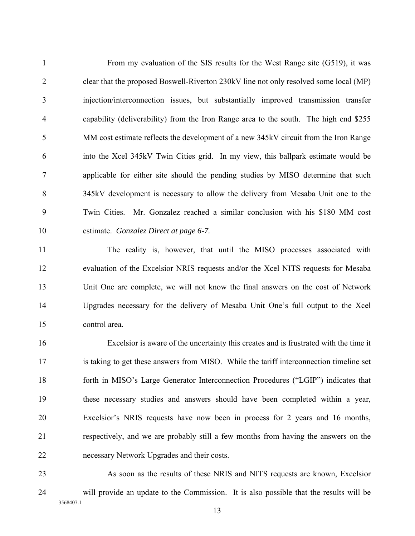1 From my evaluation of the SIS results for the West Range site (G519), it was 2 clear that the proposed Boswell-Riverton 230kV line not only resolved some local (MP) 3 injection/interconnection issues, but substantially improved transmission transfer 4 capability (deliverability) from the Iron Range area to the south. The high end \$255 5 MM cost estimate reflects the development of a new 345kV circuit from the Iron Range 6 into the Xcel 345kV Twin Cities grid. In my view, this ballpark estimate would be 7 applicable for either site should the pending studies by MISO determine that such 8 345kV development is necessary to allow the delivery from Mesaba Unit one to the 9 Twin Cities. Mr. Gonzalez reached a similar conclusion with his \$180 MM cost 10 estimate. *Gonzalez Direct at page 6-7.* 

11 The reality is, however, that until the MISO processes associated with 12 evaluation of the Excelsior NRIS requests and/or the Xcel NITS requests for Mesaba 13 Unit One are complete, we will not know the final answers on the cost of Network 14 Upgrades necessary for the delivery of Mesaba Unit One's full output to the Xcel 15 control area.

16 Excelsior is aware of the uncertainty this creates and is frustrated with the time it 17 is taking to get these answers from MISO. While the tariff interconnection timeline set 18 forth in MISO's Large Generator Interconnection Procedures ("LGIP") indicates that 19 these necessary studies and answers should have been completed within a year, 20 Excelsior's NRIS requests have now been in process for 2 years and 16 months, 21 respectively, and we are probably still a few months from having the answers on the 22 necessary Network Upgrades and their costs.

3568407.1 23 As soon as the results of these NRIS and NITS requests are known, Excelsior 24 will provide an update to the Commission. It is also possible that the results will be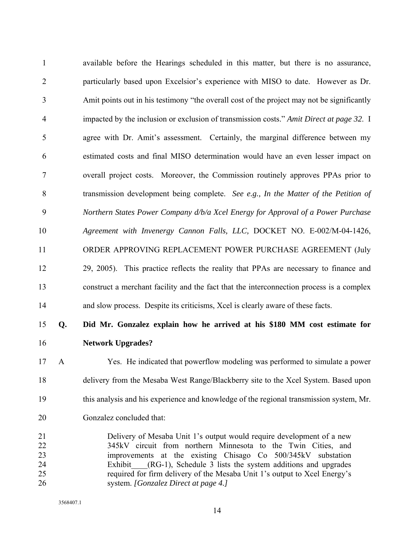1 available before the Hearings scheduled in this matter, but there is no assurance, 2 particularly based upon Excelsior's experience with MISO to date. However as Dr. 3 Amit points out in his testimony "the overall cost of the project may not be significantly 4 impacted by the inclusion or exclusion of transmission costs." *Amit Direct at page 32*. I 5 agree with Dr. Amit's assessment. Certainly, the marginal difference between my 6 estimated costs and final MISO determination would have an even lesser impact on 7 overall project costs. Moreover, the Commission routinely approves PPAs prior to 8 transmission development being complete. *See e.g., In the Matter of the Petition of*  9 *Northern States Power Company d/b/a Xcel Energy for Approval of a Power Purchase*  10 *Agreement with Invenergy Cannon Falls, LLC,* DOCKET NO. E-002/M-04-1426, 11 ORDER APPROVING REPLACEMENT POWER PURCHASE AGREEMENT (July 12 29, 2005). This practice reflects the reality that PPAs are necessary to finance and 13 construct a merchant facility and the fact that the interconnection process is a complex 14 and slow process. Despite its criticisms, Xcel is clearly aware of these facts. 15 **Q. Did Mr. Gonzalez explain how he arrived at his \$180 MM cost estimate for**  16 **Network Upgrades?** 

- 17 A Yes. He indicated that powerflow modeling was performed to simulate a power 18 delivery from the Mesaba West Range/Blackberry site to the Xcel System. Based upon 19 this analysis and his experience and knowledge of the regional transmission system, Mr. 20 Gonzalez concluded that:
- 21 Delivery of Mesaba Unit 1's output would require development of a new 22 345kV circuit from northern Minnesota to the Twin Cities, and 23 improvements at the existing Chisago Co 500/345kV substation 24 Exhibit (RG-1), Schedule 3 lists the system additions and upgrades 25 required for firm delivery of the Mesaba Unit 1's output to Xcel Energy's 26 system. *[Gonzalez Direct at page 4.]*

3568407.1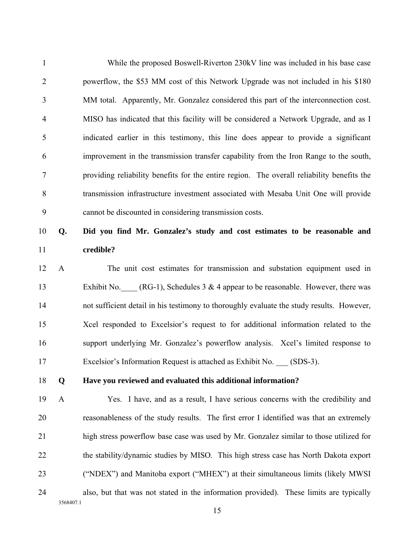1 While the proposed Boswell-Riverton 230kV line was included in his base case 2 powerflow, the \$53 MM cost of this Network Upgrade was not included in his \$180 3 MM total. Apparently, Mr. Gonzalez considered this part of the interconnection cost. 4 MISO has indicated that this facility will be considered a Network Upgrade, and as I 5 indicated earlier in this testimony, this line does appear to provide a significant 6 improvement in the transmission transfer capability from the Iron Range to the south, 7 providing reliability benefits for the entire region. The overall reliability benefits the 8 transmission infrastructure investment associated with Mesaba Unit One will provide 9 cannot be discounted in considering transmission costs. 10 **Q. Did you find Mr. Gonzalez's study and cost estimates to be reasonable and**  11 **credible?** 12 A The unit cost estimates for transmission and substation equipment used in

13 Exhibit No.  $(RG-1)$ , Schedules 3 & 4 appear to be reasonable. However, there was 14 not sufficient detail in his testimony to thoroughly evaluate the study results. However, 15 Xcel responded to Excelsior's request to for additional information related to the 16 support underlying Mr. Gonzalez's powerflow analysis. Xcel's limited response to 17 Excelsior's Information Request is attached as Exhibit No. (SDS-3).

#### 18 **Q Have you reviewed and evaluated this additional information?**

3568407.1 19 A Yes. I have, and as a result, I have serious concerns with the credibility and 20 reasonableness of the study results. The first error I identified was that an extremely 21 high stress powerflow base case was used by Mr. Gonzalez similar to those utilized for 22 the stability/dynamic studies by MISO. This high stress case has North Dakota export 23 ("NDEX") and Manitoba export ("MHEX") at their simultaneous limits (likely MWSI 24 also, but that was not stated in the information provided). These limits are typically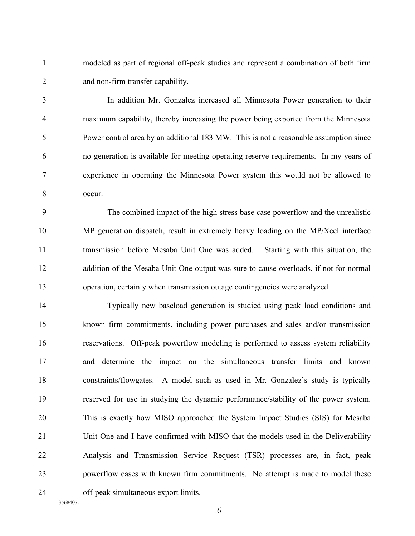1 modeled as part of regional off-peak studies and represent a combination of both firm 2 and non-firm transfer capability.

3 In addition Mr. Gonzalez increased all Minnesota Power generation to their 4 maximum capability, thereby increasing the power being exported from the Minnesota 5 Power control area by an additional 183 MW. This is not a reasonable assumption since 6 no generation is available for meeting operating reserve requirements. In my years of 7 experience in operating the Minnesota Power system this would not be allowed to 8 occur.

9 The combined impact of the high stress base case powerflow and the unrealistic 10 MP generation dispatch, result in extremely heavy loading on the MP/Xcel interface 11 transmission before Mesaba Unit One was added. Starting with this situation, the 12 addition of the Mesaba Unit One output was sure to cause overloads, if not for normal 13 operation, certainly when transmission outage contingencies were analyzed.

14 Typically new baseload generation is studied using peak load conditions and 15 known firm commitments, including power purchases and sales and/or transmission 16 reservations. Off-peak powerflow modeling is performed to assess system reliability 17 and determine the impact on the simultaneous transfer limits and known 18 constraints/flowgates. A model such as used in Mr. Gonzalez's study is typically 19 reserved for use in studying the dynamic performance/stability of the power system. 20 This is exactly how MISO approached the System Impact Studies (SIS) for Mesaba 21 Unit One and I have confirmed with MISO that the models used in the Deliverability 22 Analysis and Transmission Service Request (TSR) processes are, in fact, peak 23 powerflow cases with known firm commitments. No attempt is made to model these 24 off-peak simultaneous export limits.

3568407.1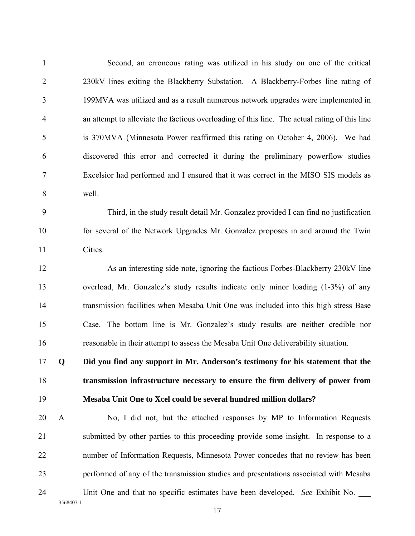| $\mathbf{1}$   |              | Second, an erroneous rating was utilized in his study on one of the critical                  |
|----------------|--------------|-----------------------------------------------------------------------------------------------|
| $\overline{2}$ |              | 230kV lines exiting the Blackberry Substation. A Blackberry-Forbes line rating of             |
| 3              |              | 199MVA was utilized and as a result numerous network upgrades were implemented in             |
| $\overline{4}$ |              | an attempt to alleviate the factious overloading of this line. The actual rating of this line |
| 5              |              | is 370MVA (Minnesota Power reaffirmed this rating on October 4, 2006). We had                 |
| 6              |              | discovered this error and corrected it during the preliminary powerflow studies               |
| $\overline{7}$ |              | Excelsior had performed and I ensured that it was correct in the MISO SIS models as           |
| 8              |              | well.                                                                                         |
| 9              |              | Third, in the study result detail Mr. Gonzalez provided I can find no justification           |
| 10             |              | for several of the Network Upgrades Mr. Gonzalez proposes in and around the Twin              |
| 11             |              | Cities.                                                                                       |
| 12             |              | As an interesting side note, ignoring the factious Forbes-Blackberry 230kV line               |
| 13             |              | overload, Mr. Gonzalez's study results indicate only minor loading (1-3%) of any              |
| 14             |              | transmission facilities when Mesaba Unit One was included into this high stress Base          |
| 15             |              | Case. The bottom line is Mr. Gonzalez's study results are neither credible nor                |
| 16             |              | reasonable in their attempt to assess the Mesaba Unit One deliverability situation.           |
| 17             | Q            | Did you find any support in Mr. Anderson's testimony for his statement that the               |
| 18             |              | transmission infrastructure necessary to ensure the firm delivery of power from               |
| 19             |              | Mesaba Unit One to Xcel could be several hundred million dollars?                             |
| 20             | $\mathbf{A}$ | No, I did not, but the attached responses by MP to Information Requests                       |
| 21             |              | submitted by other parties to this proceeding provide some insight. In response to a          |
| 22             |              | number of Information Requests, Minnesota Power concedes that no review has been              |
| 23             |              | performed of any of the transmission studies and presentations associated with Mesaba         |
| 24             | 3568407.1    | Unit One and that no specific estimates have been developed. See Exhibit No.                  |
|                |              | 17                                                                                            |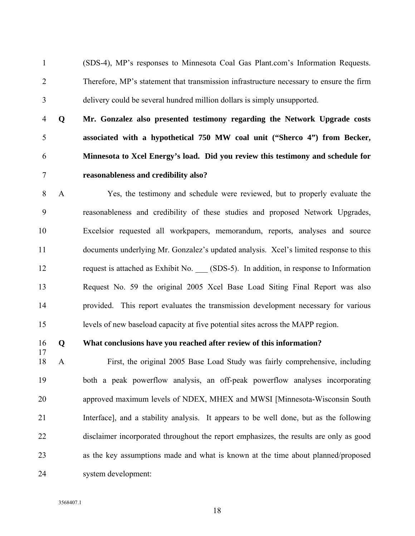1 (SDS-4), MP's responses to Minnesota Coal Gas Plant.com's Information Requests. 2 Therefore, MP's statement that transmission infrastructure necessary to ensure the firm 3 delivery could be several hundred million dollars is simply unsupported.

**Q Mr. Gonzalez also presented testimony regarding the Network Upgrade costs associated with a hypothetical 750 MW coal unit ("Sherco 4") from Becker, Minnesota to Xcel Energy's load. Did you review this testimony and schedule for reasonableness and credibility also?**

8 A Yes, the testimony and schedule were reviewed, but to properly evaluate the 9 reasonableness and credibility of these studies and proposed Network Upgrades, 10 Excelsior requested all workpapers, memorandum, reports, analyses and source 11 documents underlying Mr. Gonzalez's updated analysis. Xcel's limited response to this 12 request is attached as Exhibit No. \_\_\_ (SDS-5). In addition, in response to Information 13 Request No. 59 the original 2005 Xcel Base Load Siting Final Report was also 14 provided. This report evaluates the transmission development necessary for various 15 levels of new baseload capacity at five potential sites across the MAPP region.

17

#### 16 **Q What conclusions have you reached after review of this information?**

18 A First, the original 2005 Base Load Study was fairly comprehensive, including 19 both a peak powerflow analysis, an off-peak powerflow analyses incorporating 20 approved maximum levels of NDEX, MHEX and MWSI [Minnesota-Wisconsin South 21 Interface], and a stability analysis. It appears to be well done, but as the following 22 disclaimer incorporated throughout the report emphasizes, the results are only as good 23 as the key assumptions made and what is known at the time about planned/proposed 24 system development: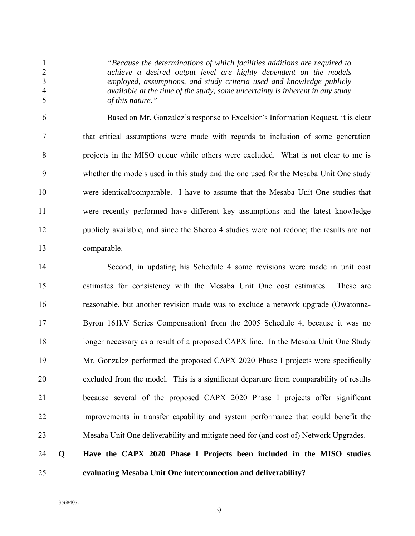*"Because the determinations of which facilities additions are required to achieve a desired output level are highly dependent on the models employed, assumptions, and study criteria used and knowledge publicly available at the time of the study, some uncertainty is inherent in any study of this nature."* 

6 Based on Mr. Gonzalez's response to Excelsior's Information Request, it is clear 7 that critical assumptions were made with regards to inclusion of some generation 8 projects in the MISO queue while others were excluded. What is not clear to me is 9 whether the models used in this study and the one used for the Mesaba Unit One study 10 were identical/comparable. I have to assume that the Mesaba Unit One studies that 11 were recently performed have different key assumptions and the latest knowledge 12 publicly available, and since the Sherco 4 studies were not redone; the results are not 13 comparable.

14 Second, in updating his Schedule 4 some revisions were made in unit cost 15 estimates for consistency with the Mesaba Unit One cost estimates. These are 16 reasonable, but another revision made was to exclude a network upgrade (Owatonna-17 Byron 161kV Series Compensation) from the 2005 Schedule 4, because it was no 18 longer necessary as a result of a proposed CAPX line. In the Mesaba Unit One Study 19 Mr. Gonzalez performed the proposed CAPX 2020 Phase I projects were specifically 20 excluded from the model. This is a significant departure from comparability of results 21 because several of the proposed CAPX 2020 Phase I projects offer significant 22 improvements in transfer capability and system performance that could benefit the 23 Mesaba Unit One deliverability and mitigate need for (and cost of) Network Upgrades.

## 24 **Q Have the CAPX 2020 Phase I Projects been included in the MISO studies**  25 **evaluating Mesaba Unit One interconnection and deliverability?**

3568407.1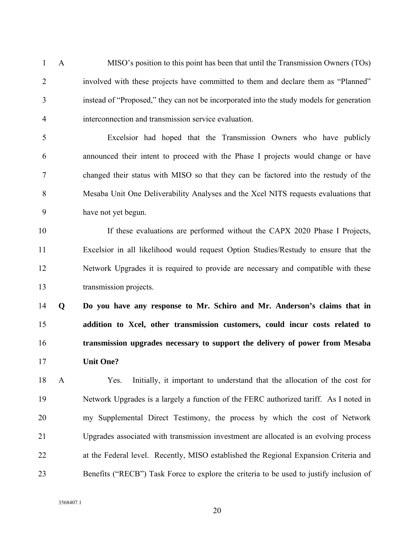1 A MISO's position to this point has been that until the Transmission Owners (TOs) 2 involved with these projects have committed to them and declare them as "Planned" 3 instead of "Proposed," they can not be incorporated into the study models for generation 4 interconnection and transmission service evaluation.

5 Excelsior had hoped that the Transmission Owners who have publicly 6 announced their intent to proceed with the Phase I projects would change or have 7 changed their status with MISO so that they can be factored into the restudy of the 8 Mesaba Unit One Deliverability Analyses and the Xcel NITS requests evaluations that 9 have not yet begun.

10 If these evaluations are performed without the CAPX 2020 Phase I Projects, 11 Excelsior in all likelihood would request Option Studies/Restudy to ensure that the 12 Network Upgrades it is required to provide are necessary and compatible with these 13 transmission projects.

**Q Do you have any response to Mr. Schiro and Mr. Anderson's claims that in addition to Xcel, other transmission customers, could incur costs related to transmission upgrades necessary to support the delivery of power from Mesaba Unit One?** 

18 A Yes. Initially, it important to understand that the allocation of the cost for 19 Network Upgrades is a largely a function of the FERC authorized tariff. As I noted in 20 my Supplemental Direct Testimony, the process by which the cost of Network 21 Upgrades associated with transmission investment are allocated is an evolving process 22 at the Federal level. Recently, MISO established the Regional Expansion Criteria and 23 Benefits ("RECB") Task Force to explore the criteria to be used to justify inclusion of

3568407.1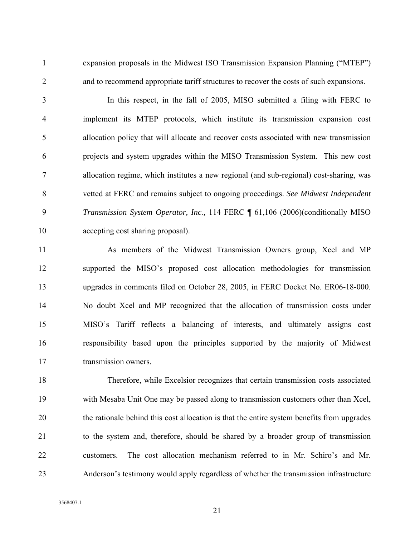1 expansion proposals in the Midwest ISO Transmission Expansion Planning ("MTEP") 2 and to recommend appropriate tariff structures to recover the costs of such expansions.

3 In this respect, in the fall of 2005, MISO submitted a filing with FERC to 4 implement its MTEP protocols, which institute its transmission expansion cost 5 allocation policy that will allocate and recover costs associated with new transmission 6 projects and system upgrades within the MISO Transmission System. This new cost 7 allocation regime, which institutes a new regional (and sub-regional) cost-sharing, was 8 vetted at FERC and remains subject to ongoing proceedings. *See Midwest Independent*  9 *Transmission System Operator, Inc.,* 114 FERC ¶ 61,106 (2006)(conditionally MISO 10 accepting cost sharing proposal).

11 As members of the Midwest Transmission Owners group, Xcel and MP 12 supported the MISO's proposed cost allocation methodologies for transmission 13 upgrades in comments filed on October 28, 2005, in FERC Docket No. ER06-18-000. 14 No doubt Xcel and MP recognized that the allocation of transmission costs under 15 MISO's Tariff reflects a balancing of interests, and ultimately assigns cost 16 responsibility based upon the principles supported by the majority of Midwest 17 transmission owners.

18 Therefore, while Excelsior recognizes that certain transmission costs associated 19 with Mesaba Unit One may be passed along to transmission customers other than Xcel, 20 the rationale behind this cost allocation is that the entire system benefits from upgrades 21 to the system and, therefore, should be shared by a broader group of transmission 22 customers. The cost allocation mechanism referred to in Mr. Schiro's and Mr. 23 Anderson's testimony would apply regardless of whether the transmission infrastructure

3568407.1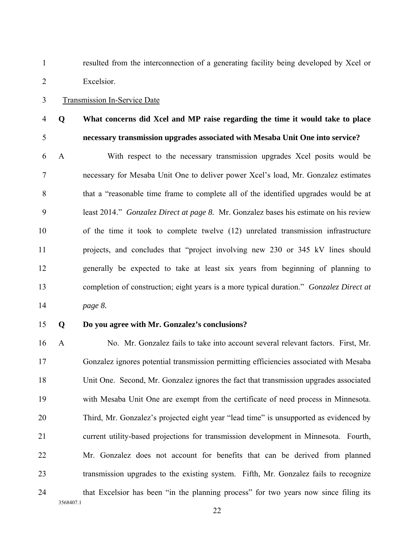1 resulted from the interconnection of a generating facility being developed by Xcel or 2 Excelsior.

#### 3 Transmission In-Service Date

## 4 **Q What concerns did Xcel and MP raise regarding the time it would take to place**  5 **necessary transmission upgrades associated with Mesaba Unit One into service?**

6 A With respect to the necessary transmission upgrades Xcel posits would be 7 necessary for Mesaba Unit One to deliver power Xcel's load, Mr. Gonzalez estimates 8 that a "reasonable time frame to complete all of the identified upgrades would be at 9 least 2014." *Gonzalez Direct at page 8.* Mr. Gonzalez bases his estimate on his review 10 of the time it took to complete twelve (12) unrelated transmission infrastructure 11 projects, and concludes that "project involving new 230 or 345 kV lines should 12 generally be expected to take at least six years from beginning of planning to 13 completion of construction; eight years is a more typical duration." *Gonzalez Direct at*  14 *page 8.* 

#### 15 **Q Do you agree with Mr. Gonzalez's conclusions?**

3568407.1 16 A No. Mr. Gonzalez fails to take into account several relevant factors. First, Mr. 17 Gonzalez ignores potential transmission permitting efficiencies associated with Mesaba 18 Unit One. Second, Mr. Gonzalez ignores the fact that transmission upgrades associated 19 with Mesaba Unit One are exempt from the certificate of need process in Minnesota. 20 Third, Mr. Gonzalez's projected eight year "lead time" is unsupported as evidenced by 21 current utility-based projections for transmission development in Minnesota. Fourth, 22 Mr. Gonzalez does not account for benefits that can be derived from planned 23 transmission upgrades to the existing system. Fifth, Mr. Gonzalez fails to recognize 24 that Excelsior has been "in the planning process" for two years now since filing its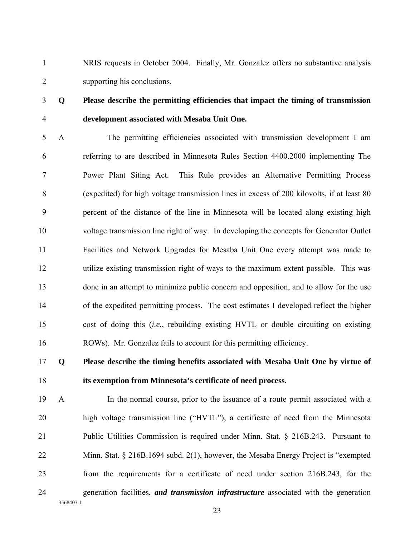1 NRIS requests in October 2004. Finally, Mr. Gonzalez offers no substantive analysis 2 supporting his conclusions.

## 3 **Q Please describe the permitting efficiencies that impact the timing of transmission**  4 **development associated with Mesaba Unit One.**

5 A The permitting efficiencies associated with transmission development I am 6 referring to are described in Minnesota Rules Section 4400.2000 implementing The 7 Power Plant Siting Act. This Rule provides an Alternative Permitting Process 8 (expedited) for high voltage transmission lines in excess of 200 kilovolts, if at least 80 9 percent of the distance of the line in Minnesota will be located along existing high 10 voltage transmission line right of way. In developing the concepts for Generator Outlet 11 Facilities and Network Upgrades for Mesaba Unit One every attempt was made to 12 utilize existing transmission right of ways to the maximum extent possible. This was 13 done in an attempt to minimize public concern and opposition, and to allow for the use 14 of the expedited permitting process. The cost estimates I developed reflect the higher 15 cost of doing this (*i.e.*, rebuilding existing HVTL or double circuiting on existing 16 ROWs). Mr. Gonzalez fails to account for this permitting efficiency.

## 17 **Q Please describe the timing benefits associated with Mesaba Unit One by virtue of**  18 **its exemption from Minnesota's certificate of need process.**

19 A In the normal course, prior to the issuance of a route permit associated with a 20 high voltage transmission line ("HVTL"), a certificate of need from the Minnesota 21 Public Utilities Commission is required under Minn. Stat. § 216B.243. Pursuant to 22 Minn. Stat. § 216B.1694 subd. 2(1), however, the Mesaba Energy Project is "exempted 23 from the requirements for a certificate of need under section 216B.243, for the 24 generation facilities, *and transmission infrastructure* associated with the generation

3568407.1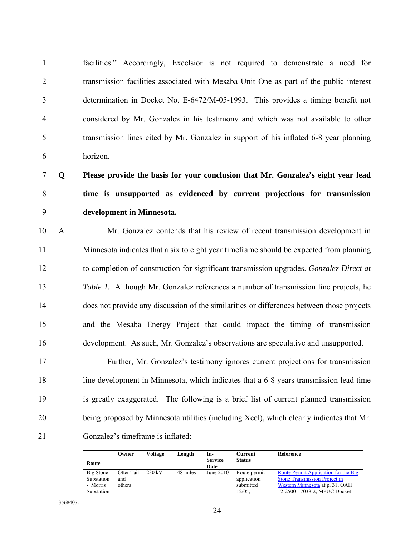1 facilities." Accordingly, Excelsior is not required to demonstrate a need for 2 transmission facilities associated with Mesaba Unit One as part of the public interest 3 determination in Docket No. E-6472/M-05-1993. This provides a timing benefit not 4 considered by Mr. Gonzalez in his testimony and which was not available to other 5 transmission lines cited by Mr. Gonzalez in support of his inflated 6-8 year planning 6 horizon.

7 **Q Please provide the basis for your conclusion that Mr. Gonzalez's eight year lead**  8 **time is unsupported as evidenced by current projections for transmission**  9 **development in Minnesota.** 

10 A Mr. Gonzalez contends that his review of recent transmission development in 11 Minnesota indicates that a six to eight year timeframe should be expected from planning 12 to completion of construction for significant transmission upgrades. *Gonzalez Direct at*  13 *Table 1.* Although Mr. Gonzalez references a number of transmission line projects, he 14 does not provide any discussion of the similarities or differences between those projects 15 and the Mesaba Energy Project that could impact the timing of transmission 16 development. As such, Mr. Gonzalez's observations are speculative and unsupported.

17 Further, Mr. Gonzalez's testimony ignores current projections for transmission 18 line development in Minnesota, which indicates that a 6-8 years transmission lead time 19 is greatly exaggerated. The following is a brief list of current planned transmission 20 being proposed by Minnesota utilities (including Xcel), which clearly indicates that Mr. 21 Gonzalez's timeframe is inflated:

|            | Owner      | <b>Voltage</b>   | Length   | In-                    | Current       | Reference                            |
|------------|------------|------------------|----------|------------------------|---------------|--------------------------------------|
| Route      |            |                  |          | <b>Service</b><br>Date | <b>Status</b> |                                      |
| Big Stone  | Otter Tail | $230 \text{ kV}$ | 48 miles | June $2010$            | Route permit  | Route Permit Application for the Big |
| Substation | and        |                  |          |                        | application   | Stone Transmission Project in        |
| - Morris   | others     |                  |          |                        | submitted     | Western Minnesota at p. 31, OAH      |
| Substation |            |                  |          |                        | $12/05$ :     | 12-2500-17038-2; MPUC Docket         |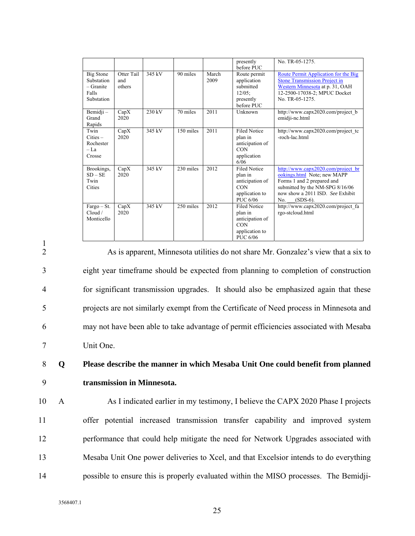|                                                                      |                             |        |           |               | presently<br>before PUC                                                                       | No. TR-05-1275.                                                                                                                                                                              |
|----------------------------------------------------------------------|-----------------------------|--------|-----------|---------------|-----------------------------------------------------------------------------------------------|----------------------------------------------------------------------------------------------------------------------------------------------------------------------------------------------|
| <b>Big Stone</b><br>Substation<br>$-$ Granite<br>Falls<br>Substation | Otter Tail<br>and<br>others | 345 kV | 90 miles  | March<br>2009 | Route permit<br>application<br>submitted<br>$12/05$ ;<br>presently<br>before PUC              | Route Permit Application for the Big<br><b>Stone Transmission Project in</b><br>Western Minnesota at p. 31, OAH<br>12-2500-17038-2; MPUC Docket<br>No. TR-05-1275.                           |
| Bemidji –<br>Grand<br>Rapids                                         | CapX<br>2020                | 230 kV | 70 miles  | 2011          | Unknown                                                                                       | http://www.capx2020.com/project b<br>emidji-nc.html                                                                                                                                          |
| Twin<br>$Cities -$<br>Rochester<br>$-I.a$<br>Crosse                  | CapX<br>2020                | 345 kV | 150 miles | 2011          | <b>Filed Notice</b><br>plan in<br>anticipation of<br><b>CON</b><br>application<br>6/06        | http://www.capx2020.com/project_tc<br>-roch-lac.html                                                                                                                                         |
| Brookings,<br>$SD - SE$<br>Twin<br>Cities                            | CapX<br>2020                | 345 kV | 230 miles | 2012          | <b>Filed Notice</b><br>plan in<br>anticipation of<br><b>CON</b><br>application to<br>PUC 6/06 | http://www.capx2020.com/project br<br>ookings.html Note; new MAPP<br>Forms 1 and 2 prepared and<br>submitted by the NM-SPG 8/16/06<br>now show a 2011 ISD. See Exhibit<br>$(SDS-6)$ .<br>No. |
| $Fargo - St.$<br>Cloud /<br>Monticello                               | CapX<br>2020                | 345 kV | 250 miles | 2012          | <b>Filed Notice</b><br>plan in<br>anticipation of<br><b>CON</b><br>application to<br>PUC 6/06 | http://www.capx2020.com/project fa<br>rgo-stcloud.html                                                                                                                                       |

1

2 As is apparent, Minnesota utilities do not share Mr. Gonzalez's view that a six to 3 eight year timeframe should be expected from planning to completion of construction 4 for significant transmission upgrades. It should also be emphasized again that these 5 projects are not similarly exempt from the Certificate of Need process in Minnesota and 6 may not have been able to take advantage of permit efficiencies associated with Mesaba 7 Unit One.

8 **Q Please describe the manner in which Mesaba Unit One could benefit from planned**  9 **transmission in Minnesota.** 

10 A As I indicated earlier in my testimony, I believe the CAPX 2020 Phase I projects 11 offer potential increased transmission transfer capability and improved system 12 performance that could help mitigate the need for Network Upgrades associated with 13 Mesaba Unit One power deliveries to Xcel, and that Excelsior intends to do everything 14 possible to ensure this is properly evaluated within the MISO processes. The Bemidji-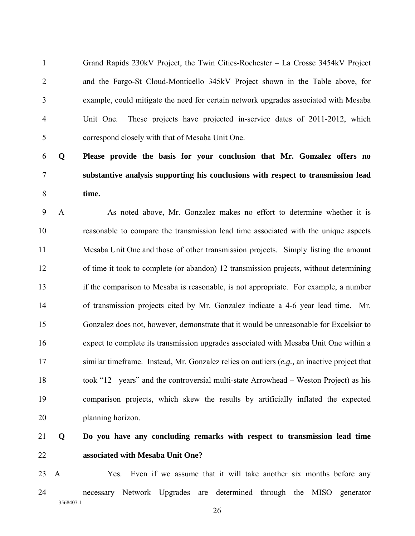1 Grand Rapids 230kV Project, the Twin Cities-Rochester – La Crosse 3454kV Project 2 and the Fargo-St Cloud-Monticello 345kV Project shown in the Table above, for 3 example, could mitigate the need for certain network upgrades associated with Mesaba 4 Unit One. These projects have projected in-service dates of 2011-2012, which 5 correspond closely with that of Mesaba Unit One.

## 6 **Q Please provide the basis for your conclusion that Mr. Gonzalez offers no**  7 **substantive analysis supporting his conclusions with respect to transmission lead**  8 **time.**

9 A As noted above, Mr. Gonzalez makes no effort to determine whether it is 10 reasonable to compare the transmission lead time associated with the unique aspects 11 Mesaba Unit One and those of other transmission projects. Simply listing the amount 12 of time it took to complete (or abandon) 12 transmission projects, without determining 13 if the comparison to Mesaba is reasonable, is not appropriate. For example, a number 14 of transmission projects cited by Mr. Gonzalez indicate a 4-6 year lead time. Mr. 15 Gonzalez does not, however, demonstrate that it would be unreasonable for Excelsior to 16 expect to complete its transmission upgrades associated with Mesaba Unit One within a 17 similar timeframe. Instead, Mr. Gonzalez relies on outliers (*e.g.,* an inactive project that 18 took "12+ years" and the controversial multi-state Arrowhead – Weston Project) as his 19 comparison projects, which skew the results by artificially inflated the expected 20 planning horizon.

## 21 **Q Do you have any concluding remarks with respect to transmission lead time**  22 **associated with Mesaba Unit One?**

3568407.1 23 A Yes. Even if we assume that it will take another six months before any 24 necessary Network Upgrades are determined through the MISO generator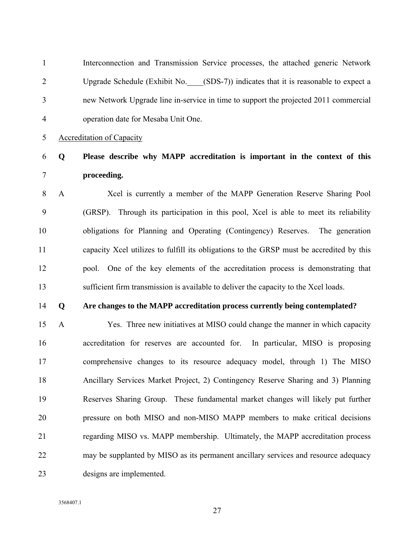1 Interconnection and Transmission Service processes, the attached generic Network 2 Upgrade Schedule (Exhibit No. (SDS-7)) indicates that it is reasonable to expect a 3 new Network Upgrade line in-service in time to support the projected 2011 commercial 4 operation date for Mesaba Unit One.

5 Accreditation of Capacity

## 6 **Q Please describe why MAPP accreditation is important in the context of this**  7 **proceeding.**

8 A Xcel is currently a member of the MAPP Generation Reserve Sharing Pool 9 (GRSP). Through its participation in this pool, Xcel is able to meet its reliability 10 obligations for Planning and Operating (Contingency) Reserves. The generation 11 capacity Xcel utilizes to fulfill its obligations to the GRSP must be accredited by this 12 pool. One of the key elements of the accreditation process is demonstrating that 13 sufficient firm transmission is available to deliver the capacity to the Xcel loads.

#### 14 **Q Are changes to the MAPP accreditation process currently being contemplated?**

15 A Yes. Three new initiatives at MISO could change the manner in which capacity 16 accreditation for reserves are accounted for. In particular, MISO is proposing 17 comprehensive changes to its resource adequacy model, through 1) The MISO 18 Ancillary Services Market Project, 2) Contingency Reserve Sharing and 3) Planning 19 Reserves Sharing Group. These fundamental market changes will likely put further 20 pressure on both MISO and non-MISO MAPP members to make critical decisions 21 regarding MISO vs. MAPP membership. Ultimately, the MAPP accreditation process 22 may be supplanted by MISO as its permanent ancillary services and resource adequacy 23 designs are implemented.

3568407.1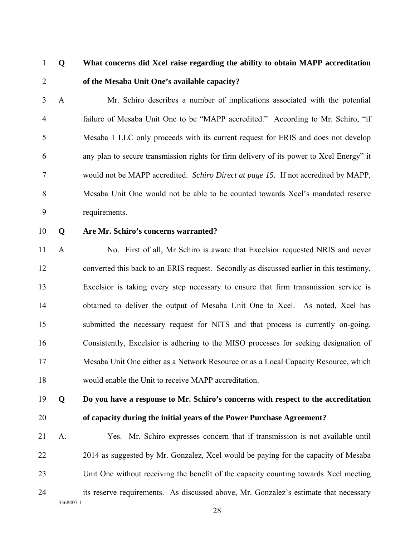## 1 **Q What concerns did Xcel raise regarding the ability to obtain MAPP accreditation**  2 **of the Mesaba Unit One's available capacity?**

3 A Mr. Schiro describes a number of implications associated with the potential 4 failure of Mesaba Unit One to be "MAPP accredited." According to Mr. Schiro, "if 5 Mesaba 1 LLC only proceeds with its current request for ERIS and does not develop 6 any plan to secure transmission rights for firm delivery of its power to Xcel Energy" it 7 would not be MAPP accredited. *Schiro Direct at page 15.* If not accredited by MAPP, 8 Mesaba Unit One would not be able to be counted towards Xcel's mandated reserve 9 requirements.

#### 10 **Q Are Mr. Schiro's concerns warranted?**

11 A No. First of all, Mr Schiro is aware that Excelsior requested NRIS and never 12 converted this back to an ERIS request. Secondly as discussed earlier in this testimony, 13 Excelsior is taking every step necessary to ensure that firm transmission service is 14 obtained to deliver the output of Mesaba Unit One to Xcel. As noted, Xcel has 15 submitted the necessary request for NITS and that process is currently on-going. 16 Consistently, Excelsior is adhering to the MISO processes for seeking designation of 17 Mesaba Unit One either as a Network Resource or as a Local Capacity Resource, which 18 would enable the Unit to receive MAPP accreditation.

## 19 **Q Do you have a response to Mr. Schiro's concerns with respect to the accreditation**  20 **of capacity during the initial years of the Power Purchase Agreement?**

3568407.1 21 A. Yes. Mr. Schiro expresses concern that if transmission is not available until 22 2014 as suggested by Mr. Gonzalez, Xcel would be paying for the capacity of Mesaba 23 Unit One without receiving the benefit of the capacity counting towards Xcel meeting 24 its reserve requirements. As discussed above, Mr. Gonzalez's estimate that necessary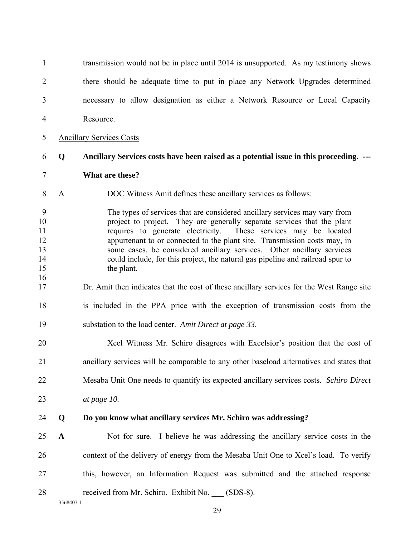| $\mathbf{1}$                                |              | transmission would not be in place until 2014 is unsupported. As my testimony shows                                                                                                                                                                                                                                                                                                                                                                                                |
|---------------------------------------------|--------------|------------------------------------------------------------------------------------------------------------------------------------------------------------------------------------------------------------------------------------------------------------------------------------------------------------------------------------------------------------------------------------------------------------------------------------------------------------------------------------|
| 2                                           |              | there should be adequate time to put in place any Network Upgrades determined                                                                                                                                                                                                                                                                                                                                                                                                      |
| 3                                           |              | necessary to allow designation as either a Network Resource or Local Capacity                                                                                                                                                                                                                                                                                                                                                                                                      |
| 4                                           |              | Resource.                                                                                                                                                                                                                                                                                                                                                                                                                                                                          |
| 5                                           |              | <b>Ancillary Services Costs</b>                                                                                                                                                                                                                                                                                                                                                                                                                                                    |
| 6                                           | Q            | Ancillary Services costs have been raised as a potential issue in this proceeding. ---                                                                                                                                                                                                                                                                                                                                                                                             |
| 7                                           |              | What are these?                                                                                                                                                                                                                                                                                                                                                                                                                                                                    |
| 8                                           | $\mathbf{A}$ | DOC Witness Amit defines these ancillary services as follows:                                                                                                                                                                                                                                                                                                                                                                                                                      |
| 9<br>10<br>11<br>12<br>13<br>14<br>15<br>16 |              | The types of services that are considered ancillary services may vary from<br>project to project. They are generally separate services that the plant<br>requires to generate electricity.<br>These services may be located<br>appurtenant to or connected to the plant site. Transmission costs may, in<br>some cases, be considered ancillary services. Other ancillary services<br>could include, for this project, the natural gas pipeline and railroad spur to<br>the plant. |
| 17                                          |              | Dr. Amit then indicates that the cost of these ancillary services for the West Range site                                                                                                                                                                                                                                                                                                                                                                                          |
| 18                                          |              | is included in the PPA price with the exception of transmission costs from the                                                                                                                                                                                                                                                                                                                                                                                                     |
| 19                                          |              | substation to the load center. Amit Direct at page 33.                                                                                                                                                                                                                                                                                                                                                                                                                             |
| 20                                          |              | Xcel Witness Mr. Schiro disagrees with Excelsior's position that the cost of                                                                                                                                                                                                                                                                                                                                                                                                       |
| 21                                          |              | ancillary services will be comparable to any other baseload alternatives and states that                                                                                                                                                                                                                                                                                                                                                                                           |
| 22                                          |              | Mesaba Unit One needs to quantify its expected ancillary services costs. Schiro Direct                                                                                                                                                                                                                                                                                                                                                                                             |
| 23                                          |              | at page 10.                                                                                                                                                                                                                                                                                                                                                                                                                                                                        |
| 24                                          | Q            | Do you know what ancillary services Mr. Schiro was addressing?                                                                                                                                                                                                                                                                                                                                                                                                                     |
| 25                                          | $\mathbf A$  | Not for sure. I believe he was addressing the ancillary service costs in the                                                                                                                                                                                                                                                                                                                                                                                                       |
| 26                                          |              | context of the delivery of energy from the Mesaba Unit One to Xcel's load. To verify                                                                                                                                                                                                                                                                                                                                                                                               |
| 27                                          |              | this, however, an Information Request was submitted and the attached response                                                                                                                                                                                                                                                                                                                                                                                                      |
| 28                                          | 3568407.1    | received from Mr. Schiro. Exhibit No. (SDS-8).                                                                                                                                                                                                                                                                                                                                                                                                                                     |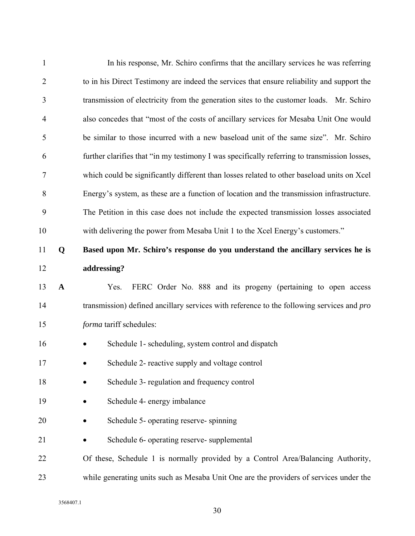| $\mathbf{1}$   |             | In his response, Mr. Schiro confirms that the ancillary services he was referring                |  |  |  |  |  |  |
|----------------|-------------|--------------------------------------------------------------------------------------------------|--|--|--|--|--|--|
| $\overline{2}$ |             | to in his Direct Testimony are indeed the services that ensure reliability and support the       |  |  |  |  |  |  |
| 3              |             | transmission of electricity from the generation sites to the customer loads. Mr. Schiro          |  |  |  |  |  |  |
| $\overline{4}$ |             | also concedes that "most of the costs of ancillary services for Mesaba Unit One would            |  |  |  |  |  |  |
| 5              |             | be similar to those incurred with a new baseload unit of the same size". Mr. Schiro              |  |  |  |  |  |  |
| 6              |             | further clarifies that "in my testimony I was specifically referring to transmission losses,     |  |  |  |  |  |  |
| 7              |             | which could be significantly different than losses related to other baseload units on Xcel       |  |  |  |  |  |  |
| 8              |             | Energy's system, as these are a function of location and the transmission infrastructure.        |  |  |  |  |  |  |
| 9              |             | The Petition in this case does not include the expected transmission losses associated           |  |  |  |  |  |  |
| 10             |             | with delivering the power from Mesaba Unit 1 to the Xcel Energy's customers."                    |  |  |  |  |  |  |
| 11             | Q           | Based upon Mr. Schiro's response do you understand the ancillary services he is                  |  |  |  |  |  |  |
| 12             |             | addressing?                                                                                      |  |  |  |  |  |  |
| 13             | $\mathbf A$ | FERC Order No. 888 and its progeny (pertaining to open access<br>Yes.                            |  |  |  |  |  |  |
| 14             |             | transmission) defined ancillary services with reference to the following services and <i>pro</i> |  |  |  |  |  |  |
| 15             |             | forma tariff schedules:                                                                          |  |  |  |  |  |  |
| 16             |             | Schedule 1- scheduling, system control and dispatch                                              |  |  |  |  |  |  |
| 17             |             | Schedule 2- reactive supply and voltage control                                                  |  |  |  |  |  |  |
| 18             |             | Schedule 3- regulation and frequency control                                                     |  |  |  |  |  |  |
| 19             |             | Schedule 4- energy imbalance                                                                     |  |  |  |  |  |  |
| 20             |             | Schedule 5- operating reserve-spinning                                                           |  |  |  |  |  |  |
| 21             |             | Schedule 6- operating reserve- supplemental                                                      |  |  |  |  |  |  |
| 22             |             | Of these, Schedule 1 is normally provided by a Control Area/Balancing Authority,                 |  |  |  |  |  |  |
| 23             |             | while generating units such as Mesaba Unit One are the providers of services under the           |  |  |  |  |  |  |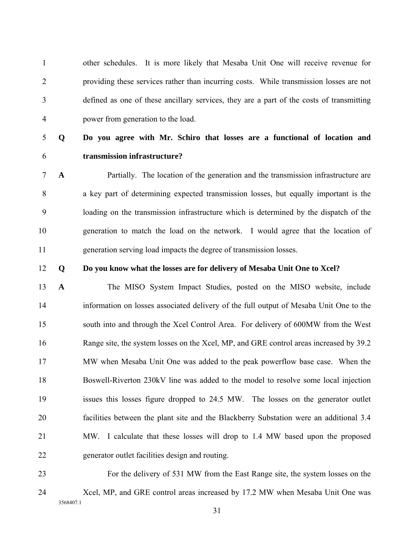1 other schedules. It is more likely that Mesaba Unit One will receive revenue for 2 providing these services rather than incurring costs. While transmission losses are not 3 defined as one of these ancillary services, they are a part of the costs of transmitting 4 power from generation to the load.

## 5 **Q Do you agree with Mr. Schiro that losses are a functional of location and**  6 **transmission infrastructure?**

7 **A** Partially. The location of the generation and the transmission infrastructure are 8 a key part of determining expected transmission losses, but equally important is the 9 loading on the transmission infrastructure which is determined by the dispatch of the 10 generation to match the load on the network. I would agree that the location of 11 generation serving load impacts the degree of transmission losses.

#### 12 **Q Do you know what the losses are for delivery of Mesaba Unit One to Xcel?**

13 **A** The MISO System Impact Studies, posted on the MISO website, include 14 information on losses associated delivery of the full output of Mesaba Unit One to the 15 south into and through the Xcel Control Area. For delivery of 600MW from the West 16 Range site, the system losses on the Xcel, MP, and GRE control areas increased by 39.2 17 MW when Mesaba Unit One was added to the peak powerflow base case. When the 18 Boswell-Riverton 230kV line was added to the model to resolve some local injection 19 issues this losses figure dropped to 24.5 MW. The losses on the generator outlet 20 facilities between the plant site and the Blackberry Substation were an additional 3.4 21 MW. I calculate that these losses will drop to 1.4 MW based upon the proposed 22 generator outlet facilities design and routing.

3568407.1 23 For the delivery of 531 MW from the East Range site, the system losses on the 24 Xcel, MP, and GRE control areas increased by 17.2 MW when Mesaba Unit One was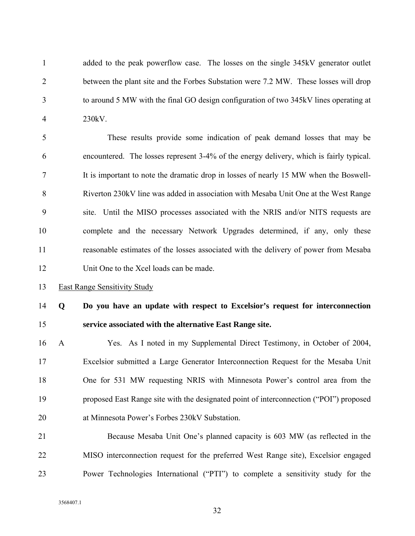1 added to the peak powerflow case. The losses on the single 345kV generator outlet 2 between the plant site and the Forbes Substation were 7.2 MW. These losses will drop 3 to around 5 MW with the final GO design configuration of two 345kV lines operating at 4 230kV.

5 These results provide some indication of peak demand losses that may be 6 encountered. The losses represent 3-4% of the energy delivery, which is fairly typical. 7 It is important to note the dramatic drop in losses of nearly 15 MW when the Boswell-8 Riverton 230kV line was added in association with Mesaba Unit One at the West Range 9 site. Until the MISO processes associated with the NRIS and/or NITS requests are 10 complete and the necessary Network Upgrades determined, if any, only these 11 reasonable estimates of the losses associated with the delivery of power from Mesaba 12 Unit One to the Xcel loads can be made.

13 East Range Sensitivity Study

### 14 **Q Do you have an update with respect to Excelsior's request for interconnection**  15 **service associated with the alternative East Range site.**

- 16 A Yes. As I noted in my Supplemental Direct Testimony, in October of 2004, 17 Excelsior submitted a Large Generator Interconnection Request for the Mesaba Unit 18 One for 531 MW requesting NRIS with Minnesota Power's control area from the 19 proposed East Range site with the designated point of interconnection ("POI") proposed 20 at Minnesota Power's Forbes 230kV Substation.
- 21 Because Mesaba Unit One's planned capacity is 603 MW (as reflected in the 22 MISO interconnection request for the preferred West Range site), Excelsior engaged 23 Power Technologies International ("PTI") to complete a sensitivity study for the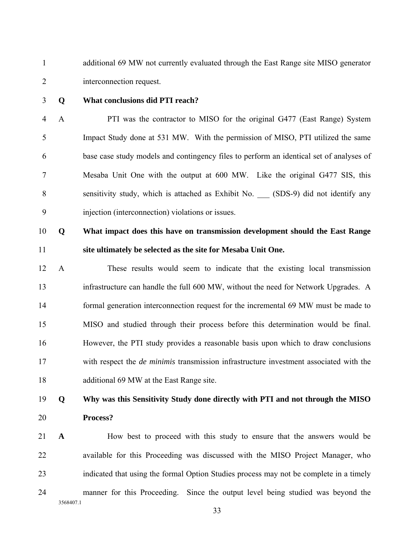1 additional 69 MW not currently evaluated through the East Range site MISO generator 2 interconnection request.

#### 3 **Q What conclusions did PTI reach?**

4 A PTI was the contractor to MISO for the original G477 (East Range) System 5 Impact Study done at 531 MW. With the permission of MISO, PTI utilized the same 6 base case study models and contingency files to perform an identical set of analyses of 7 Mesaba Unit One with the output at 600 MW. Like the original G477 SIS, this 8 sensitivity study, which is attached as Exhibit No. (SDS-9) did not identify any 9 injection (interconnection) violations or issues.

## 10 **Q What impact does this have on transmission development should the East Range**  11 **site ultimately be selected as the site for Mesaba Unit One.**

12 A These results would seem to indicate that the existing local transmission 13 infrastructure can handle the full 600 MW, without the need for Network Upgrades. A 14 formal generation interconnection request for the incremental 69 MW must be made to 15 MISO and studied through their process before this determination would be final. 16 However, the PTI study provides a reasonable basis upon which to draw conclusions 17 with respect the *de minimis* transmission infrastructure investment associated with the 18 additional 69 MW at the East Range site.

## 19 **Q Why was this Sensitivity Study done directly with PTI and not through the MISO**  20 **Process?**

3568407.1 21 **A** How best to proceed with this study to ensure that the answers would be 22 available for this Proceeding was discussed with the MISO Project Manager, who 23 indicated that using the formal Option Studies process may not be complete in a timely 24 manner for this Proceeding. Since the output level being studied was beyond the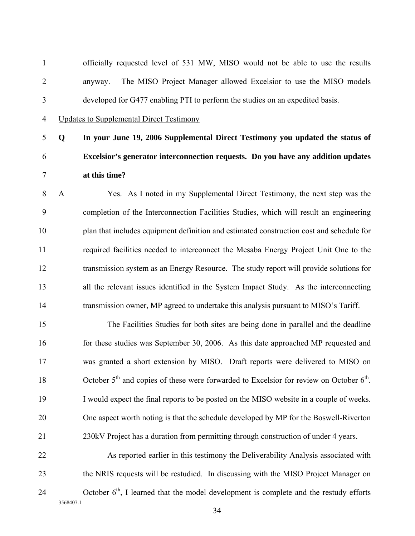1 officially requested level of 531 MW, MISO would not be able to use the results 2 anyway. The MISO Project Manager allowed Excelsior to use the MISO models 3 developed for G477 enabling PTI to perform the studies on an expedited basis.

4 Updates to Supplemental Direct Testimony

## 5 **Q In your June 19, 2006 Supplemental Direct Testimony you updated the status of**  6 **Excelsior's generator interconnection requests. Do you have any addition updates**  7 **at this time?**

8 A Yes. As I noted in my Supplemental Direct Testimony, the next step was the 9 completion of the Interconnection Facilities Studies, which will result an engineering 10 plan that includes equipment definition and estimated construction cost and schedule for 11 required facilities needed to interconnect the Mesaba Energy Project Unit One to the 12 transmission system as an Energy Resource. The study report will provide solutions for 13 all the relevant issues identified in the System Impact Study. As the interconnecting 14 transmission owner, MP agreed to undertake this analysis pursuant to MISO's Tariff.

15 The Facilities Studies for both sites are being done in parallel and the deadline 16 for these studies was September 30, 2006. As this date approached MP requested and 17 was granted a short extension by MISO. Draft reports were delivered to MISO on 18 October  $5<sup>th</sup>$  and copies of these were forwarded to Excelsior for review on October  $6<sup>th</sup>$ . 19 I would expect the final reports to be posted on the MISO website in a couple of weeks. 20 One aspect worth noting is that the schedule developed by MP for the Boswell-Riverton 21 230kV Project has a duration from permitting through construction of under 4 years.

3568407.1 22 As reported earlier in this testimony the Deliverability Analysis associated with 23 the NRIS requests will be restudied. In discussing with the MISO Project Manager on 24  $\qquad$  October  $6<sup>th</sup>$ , I learned that the model development is complete and the restudy efforts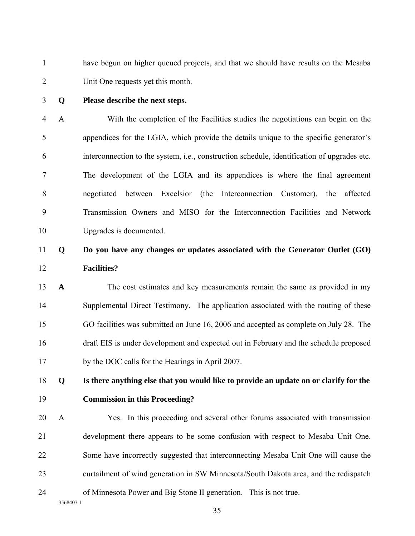1 have begun on higher queued projects, and that we should have results on the Mesaba 2 Unit One requests yet this month.

#### 3 **Q Please describe the next steps.**

4 A With the completion of the Facilities studies the negotiations can begin on the 5 appendices for the LGIA, which provide the details unique to the specific generator's 6 interconnection to the system, *i.e.*, construction schedule, identification of upgrades etc. 7 The development of the LGIA and its appendices is where the final agreement 8 negotiated between Excelsior (the Interconnection Customer), the affected 9 Transmission Owners and MISO for the Interconnection Facilities and Network 10 Upgrades is documented.

### 11 **Q Do you have any changes or updates associated with the Generator Outlet (GO)**  12 **Facilities?**

13 **A** The cost estimates and key measurements remain the same as provided in my 14 Supplemental Direct Testimony. The application associated with the routing of these 15 GO facilities was submitted on June 16, 2006 and accepted as complete on July 28. The 16 draft EIS is under development and expected out in February and the schedule proposed 17 by the DOC calls for the Hearings in April 2007.

## 18 **Q Is there anything else that you would like to provide an update on or clarify for the**

### 19 **Commission in this Proceeding?**

20 A Yes. In this proceeding and several other forums associated with transmission 21 development there appears to be some confusion with respect to Mesaba Unit One. 22 Some have incorrectly suggested that interconnecting Mesaba Unit One will cause the 23 curtailment of wind generation in SW Minnesota/South Dakota area, and the redispatch 24 of Minnesota Power and Big Stone II generation. This is not true.

3568407.1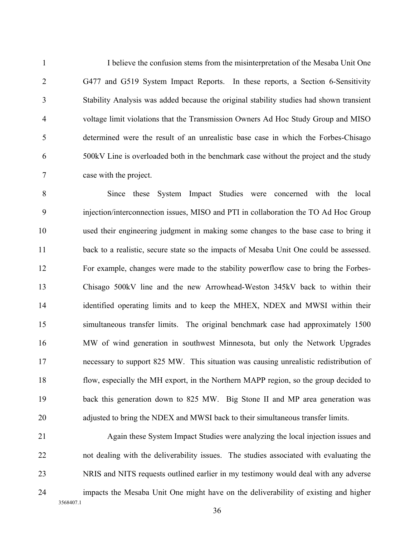1 I believe the confusion stems from the misinterpretation of the Mesaba Unit One 2 G477 and G519 System Impact Reports. In these reports, a Section 6-Sensitivity 3 Stability Analysis was added because the original stability studies had shown transient 4 voltage limit violations that the Transmission Owners Ad Hoc Study Group and MISO 5 determined were the result of an unrealistic base case in which the Forbes-Chisago 6 500kV Line is overloaded both in the benchmark case without the project and the study 7 case with the project.

8 Since these System Impact Studies were concerned with the local 9 injection/interconnection issues, MISO and PTI in collaboration the TO Ad Hoc Group 10 used their engineering judgment in making some changes to the base case to bring it 11 back to a realistic, secure state so the impacts of Mesaba Unit One could be assessed. 12 For example, changes were made to the stability powerflow case to bring the Forbes-13 Chisago 500kV line and the new Arrowhead-Weston 345kV back to within their 14 identified operating limits and to keep the MHEX, NDEX and MWSI within their 15 simultaneous transfer limits. The original benchmark case had approximately 1500 16 MW of wind generation in southwest Minnesota, but only the Network Upgrades 17 necessary to support 825 MW. This situation was causing unrealistic redistribution of 18 flow, especially the MH export, in the Northern MAPP region, so the group decided to 19 back this generation down to 825 MW. Big Stone II and MP area generation was 20 adjusted to bring the NDEX and MWSI back to their simultaneous transfer limits.

3568407.1 21 Again these System Impact Studies were analyzing the local injection issues and 22 not dealing with the deliverability issues. The studies associated with evaluating the 23 NRIS and NITS requests outlined earlier in my testimony would deal with any adverse 24 impacts the Mesaba Unit One might have on the deliverability of existing and higher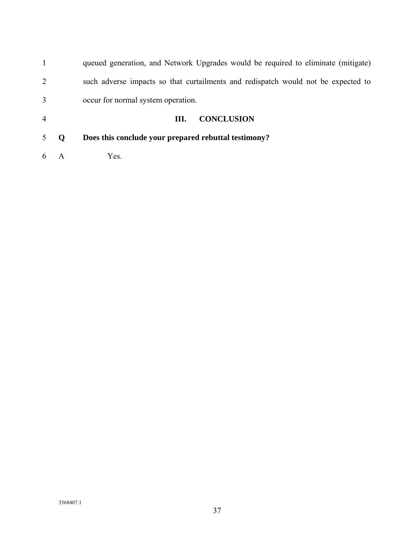|                |             | queued generation, and Network Upgrades would be required to eliminate (mitigate) |
|----------------|-------------|-----------------------------------------------------------------------------------|
| $\overline{2}$ |             | such adverse impacts so that curtailments and redispatch would not be expected to |
| 3              |             | occur for normal system operation.                                                |
| $\overline{4}$ |             | <b>CONCLUSION</b><br>Ш.                                                           |
| 5              | $\mathbf 0$ | Does this conclude your prepared rebuttal testimony?                              |
| 6              | A           | Yes.                                                                              |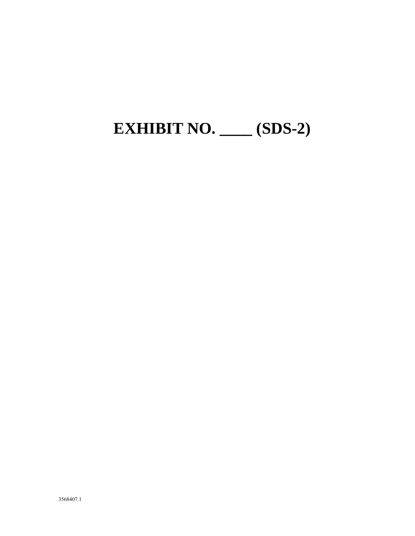# **EXHIBIT NO. \_\_\_\_ (SDS-2)**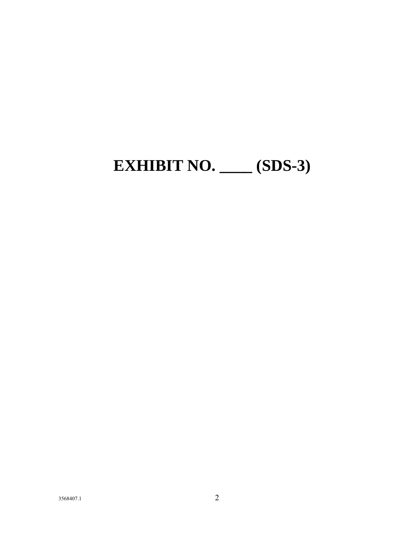## **EXHIBIT NO. \_\_\_\_ (SDS-3)**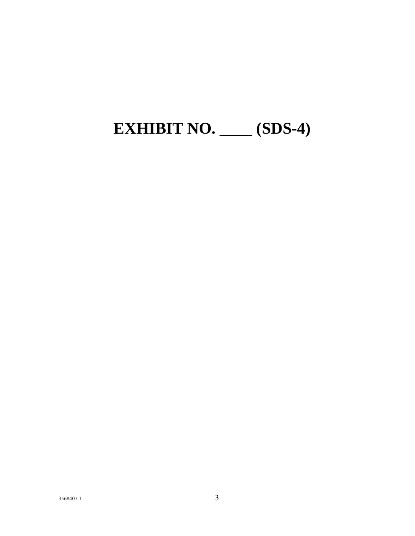# **EXHIBIT NO. \_\_\_\_ (SDS-4)**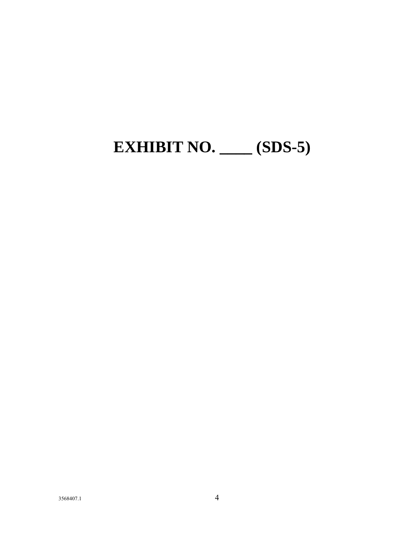## **EXHIBIT NO. \_\_\_\_ (SDS-5)**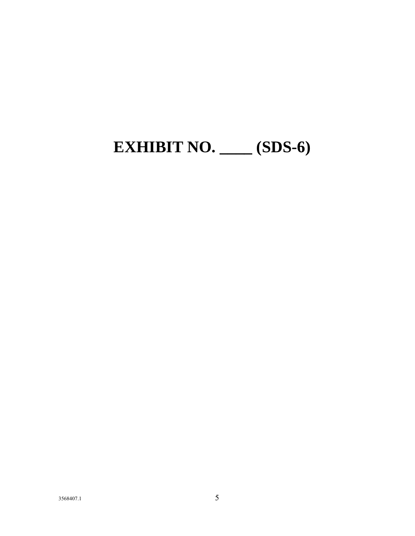## **EXHIBIT NO. \_\_\_\_ (SDS-6)**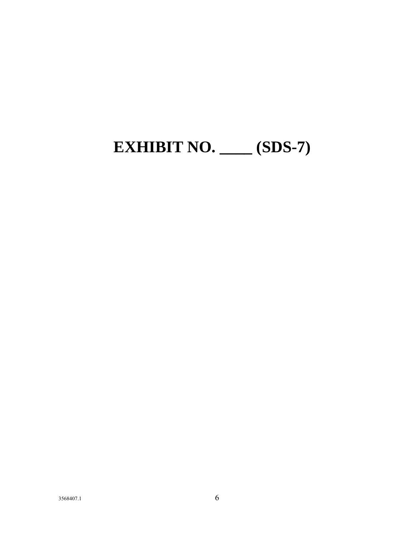## **EXHIBIT NO. \_\_\_\_ (SDS-7)**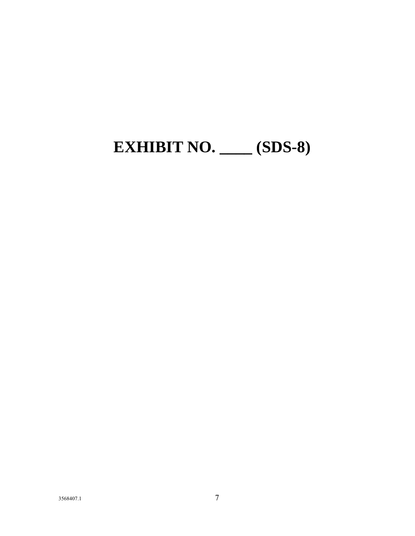## **EXHIBIT NO. \_\_\_\_ (SDS-8)**